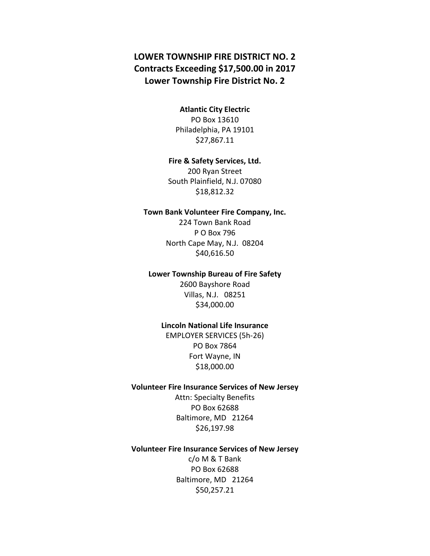# **LOWER TOWNSHIP FIRE DISTRICT NO. 2 Contracts Exceeding \$17,500.00 in 2017 Lower Township Fire District No. 2**

## **Atlantic City Electric** PO Box 13610

Philadelphia, PA 19101 \$27,867.11

### **Fire & Safety Services, Ltd.**

200 Ryan Street South Plainfield, N.J. 07080 \$18,812.32

### **Town Bank Volunteer Fire Company, Inc.**

224 Town Bank Road P O Box 796 North Cape May, N.J. 08204 \$40,616.50

### **Lower Township Bureau of Fire Safety**

2600 Bayshore Road Villas, N.J. 08251 \$34,000.00

### **Lincoln National Life Insurance**

EMPLOYER SERVICES (5h-26) PO Box 7864 Fort Wayne, IN \$18,000.00

### **Volunteer Fire Insurance Services of New Jersey**

Attn: Specialty Benefits PO Box 62688 Baltimore, MD 21264 \$26,197.98

## **Volunteer Fire Insurance Services of New Jersey**

c/o M & T Bank PO Box 62688 Baltimore, MD 21264 \$50,257.21